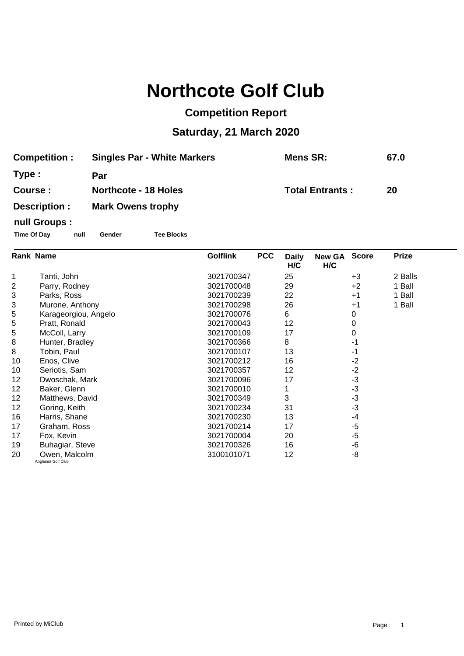# **Northcote Golf Club**

## **Competition Report**

## **Saturday, 21 March 2020**

| <b>Competition:</b> | <b>Singles Par - White Markers</b> | <b>Mens SR:</b>        | 67.0 |
|---------------------|------------------------------------|------------------------|------|
| Type:               | Par                                |                        |      |
| Course:             | <b>Northcote - 18 Holes</b>        | <b>Total Entrants:</b> | 20   |
| Description :       | <b>Mark Owens trophy</b>           |                        |      |
| null Groups :       |                                    |                        |      |

#### **Time Of Day null Gender Tee Blocks**

| Rank Name |                                     | <b>Golflink</b><br><b>PCC</b> | <b>Daily</b><br>H/C | <b>New GA</b><br>H/C | <b>Score</b> | <b>Prize</b> |  |
|-----------|-------------------------------------|-------------------------------|---------------------|----------------------|--------------|--------------|--|
| 1         | Tanti, John                         | 3021700347                    | 25                  |                      | $+3$         | 2 Balls      |  |
| 2         | Parry, Rodney                       | 3021700048                    | 29                  |                      | $+2$         | 1 Ball       |  |
| 3         | Parks, Ross                         | 3021700239                    | 22                  |                      | $+1$         | 1 Ball       |  |
| 3         | Murone, Anthony                     | 3021700298                    | 26                  |                      | $+1$         | 1 Ball       |  |
| 5         | Karageorgiou, Angelo                | 3021700076                    | 6                   |                      | 0            |              |  |
| 5         | Pratt, Ronald                       | 3021700043                    | 12                  |                      | 0            |              |  |
| 5         | McColl, Larry                       | 3021700109                    | 17                  |                      | 0            |              |  |
| 8         | Hunter, Bradley                     | 3021700366                    | 8                   |                      | -1           |              |  |
| 8         | Tobin, Paul                         | 3021700107                    | 13                  |                      | -1           |              |  |
| 10        | Enos, Clive                         | 3021700212                    | 16                  |                      | $-2$         |              |  |
| 10        | Seriotis, Sam                       | 3021700357                    | 12                  |                      | $-2$         |              |  |
| 12        | Dwoschak, Mark                      | 3021700096                    | 17                  |                      | $-3$         |              |  |
| 12        | Baker, Glenn                        | 3021700010                    |                     |                      | $-3$         |              |  |
| 12        | Matthews, David                     | 3021700349                    | 3                   |                      | $-3$         |              |  |
| 12        | Goring, Keith                       | 3021700234                    | 31                  |                      | $-3$         |              |  |
| 16        | Harris, Shane                       | 3021700230                    | 13                  |                      | $-4$         |              |  |
| 17        | Graham, Ross                        | 3021700214                    | 17                  |                      | $-5$         |              |  |
| 17        | Fox, Kevin                          | 3021700004                    | 20                  |                      | $-5$         |              |  |
| 19        | Buhagiar, Steve                     | 3021700326                    | 16                  |                      | -6           |              |  |
| 20        | Owen, Malcolm<br>Anglesea Golf Club | 3100101071                    | 12                  |                      | -8           |              |  |